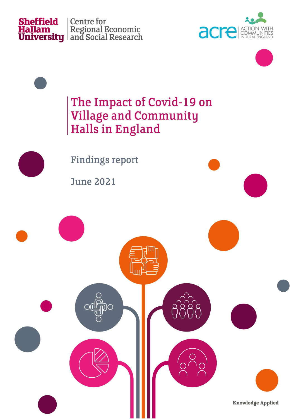

**Sheffield** Centre for<br> **Hallam** Regional Economic<br> **University** and Social Research





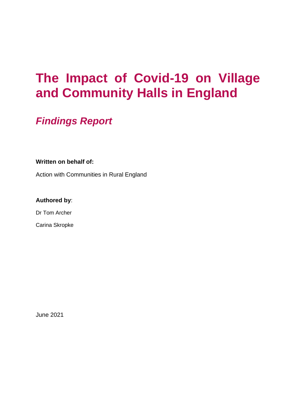# **The Impact of Covid-19 on Village and Community Halls in England**

### *Findings Report*

#### **Written on behalf of:**

Action with Communities in Rural England

#### **Authored by**:

Dr Tom Archer

Carina Skropke

June 2021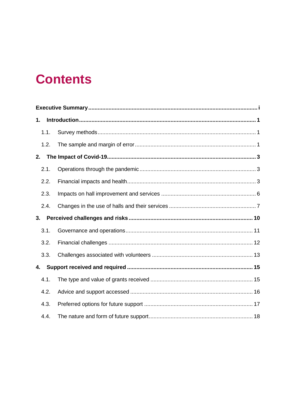# **Contents**

| 1.   |  |  |  |
|------|--|--|--|
| 1.1. |  |  |  |
| 1.2. |  |  |  |
| 2.   |  |  |  |
| 2.1. |  |  |  |
| 2.2. |  |  |  |
| 2.3. |  |  |  |
| 2.4. |  |  |  |
| 3.   |  |  |  |
| 3.1. |  |  |  |
| 3.2. |  |  |  |
| 3.3. |  |  |  |
| 4.   |  |  |  |
| 4.1. |  |  |  |
| 4.2. |  |  |  |
| 4.3. |  |  |  |
| 4.4. |  |  |  |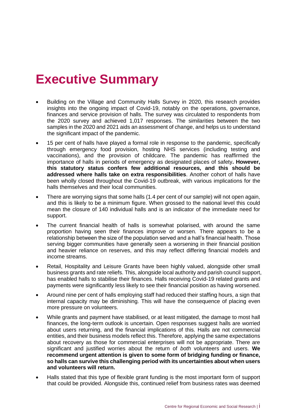# <span id="page-3-0"></span>**Executive Summary**

- Building on the Village and Community Halls Survey in 2020, this research provides insights into the ongoing impact of Covid-19, notably on the operations, governance, finances and service provision of halls. The survey was circulated to respondents from the 2020 survey and achieved 1,017 responses. The similarities between the two samples in the 2020 and 2021 aids an assessment of change, and helps us to understand the significant impact of the pandemic.
- 15 per cent of halls have played a formal role in response to the pandemic, specifically through emergency food provision, hosting NHS services (including testing and vaccinations), and the provision of childcare. The pandemic has reaffirmed the importance of halls in periods of emergency as designated places of safety**. However, this statutory status confers few additional resources, and this should be addressed where halls take on extra responsibilities**. Another cohort of halls have been wholly closed throughout the Covid-19 outbreak, with various implications for the halls themselves and their local communities.
- There are worrying signs that some halls (1.4 per cent of our sample) will not open again, and this is likely to be a minimum figure. When grossed to the national level this could mean the closure of 140 individual halls and is an indicator of the immediate need for support.
- The current financial health of halls is somewhat polarised, with around the same proportion having seen their finances improve or worsen. There appears to be a relationship between the size of the population served and a hall's financial health. Those serving bigger communities have generally seen a worsening in their financial position and heavier reliance on reserves, and this may reflect differing financial models and income streams.
- Retail, Hospitality and Leisure Grants have been highly valued, alongside other small business grants and rate reliefs. This, alongside local authority and parish council support, has enabled halls to stabilise their finances. Halls receiving Covid-19 related grants and payments were significantly less likely to see their financial position as having worsened.
- Around nine per cent of halls employing staff had reduced their staffing hours, a sign that internal capacity may be diminishing. This will have the consequence of placing even more pressure on volunteers.
- While grants and payment have stabilised, or at least mitigated, the damage to most hall finances, the long-term outlook is uncertain. Open responses suggest halls are worried about users returning, and the financial implications of this. Halls are not commercial entities, and their business models reflect this. Therefore, applying the same expectations about recovery as those for commercial enterprises will not be appropriate. There are significant and justified worries about the return of *both* volunteers and users. **We recommend urgent attention is given to some form of bridging funding or finance, so halls can survive this challenging period with its uncertainties about when users and volunteers will return.**
- Halls stated that this type of flexible grant funding is the most important form of support that could be provided. Alongside this, continued relief from business rates was deemed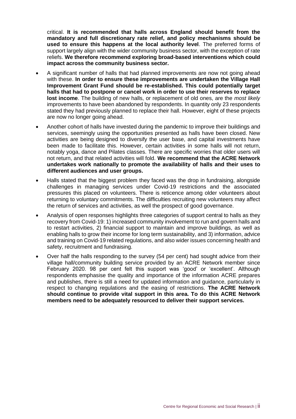critical. **It is recommended that halls across England should benefit from the mandatory and full discretionary rate relief, and policy mechanisms should be used to ensure this happens at the local authority level**. The preferred forms of support largely align with the wider community business sector, with the exception of rate reliefs. **We therefore recommend exploring broad-based interventions which could impact across the community business sector.**

- A significant number of halls that had planned improvements are now not going ahead with these. **In order to ensure these improvements are undertaken the Village Hall Improvement Grant Fund should be re-established. This could potentially target halls that had to postpone or cancel work in order to use their reserves to replace lost income**. The building of new halls, or replacement of old ones, are the *most likely* improvements to have been abandoned by respondents. In quantity only 23 respondents stated they had previously planned to replace their hall. However, eight of these projects are now no longer going ahead.
- Another cohort of halls have invested during the pandemic to improve their buildings and services, seemingly using the opportunities presented as halls have been closed. New activities are being designed to diversify the user base, and capital investments have been made to facilitate this. However, certain activities in some halls will not return, notably yoga, dance and Pilates classes. There are specific worries that older users will not return, and that related activities will fold. **We recommend that the ACRE Network undertakes work nationally to promote the availability of halls and their uses to different audiences and user groups.**
- Halls stated that the biggest problem they faced was the drop in fundraising, alongside challenges in managing services under Covid-19 restrictions and the associated pressures this placed on volunteers. There is reticence among older volunteers about returning to voluntary commitments. The difficulties recruiting new volunteers may affect the return of services and activities, as well the prospect of good governance.
- Analysis of open responses highlights three categories of support central to halls as they recovery from Covid-19: 1) increased community involvement to run and govern halls and to restart activities, 2) financial support to maintain and improve buildings, as well as enabling halls to grow their income for long term sustainability, and 3) information, advice and training on Covid-19 related regulations, and also wider issues concerning health and safety, recruitment and fundraising.
- Over half the halls responding to the survey (54 per cent) had sought advice from their village hall/community building service provided by an ACRE Network member since February 2020. 98 per cent felt this support was 'good' or 'excellent'. Although respondents emphasise the quality and importance of the information ACRE prepares and publishes, there is still a need for updated information and guidance, particularly in respect to changing regulations and the easing of restrictions. **The ACRE Network should continue to provide vital support in this area. To do this ACRE Network members need to be adequately resourced to deliver their support services.**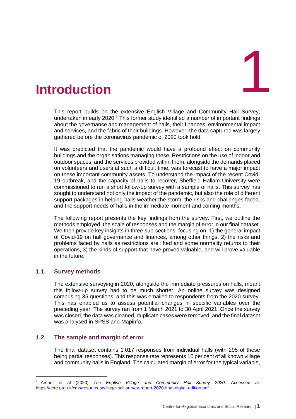<span id="page-5-0"></span>

This report builds on the extensive English Village and Community Hall Survey, undertaken in early 2020.<sup>1</sup> This former study identified a number of important findings about the governance and management of halls, their finances, environmental impact and services, and the fabric of their buildings. However, the data captured was largely gathered before the coronavirus pandemic of 2020 took hold.

It was predicted that the pandemic would have a profound effect on community buildings and the organisations managing these. Restrictions on the use of indoor and outdoor spaces, and the services provided within them, alongside the demands placed on volunteers and users at such a difficult time, was forecast to have a major impact on these important community assets. To understand the impact of the recent Covid-19 outbreak, and the capacity of halls to recover, Sheffield Hallam University were commissioned to run a short follow-up survey with a sample of halls. This survey has sought to understand not only the impact of the pandemic, but also the role of different support packages in helping halls weather the storm, the risks and challenges faced, and the support needs of halls in the immediate moment and coming months.

The following report presents the key findings from the survey. First, we outline the methods employed, the scale of responses and the margin of error in our final dataset. We then provide key insights in three sub-sections, focusing on: 1) the general impact of Covid-19 on hall governance and finances, among other things, 2) the risks and problems faced by halls as restrictions are lifted and some normality returns to their operations, 3) the kinds of support that have proved valuable, and will prove valuable in the future.

#### <span id="page-5-1"></span>**1.1. Survey methods**

The extensive surveying in 2020, alongside the immediate pressures on halls, meant this follow-up survey had to be much shorter. An online survey was designed comprising 35 questions, and this was emailed to respondents from the 2020 survey. This has enabled us to assess potential changes in specific variables over the preceding year. The survey ran from 1 March 2021 to 30 April 2021. Once the survey was closed, the data was cleaned, duplicate cases were removed, and the final dataset was analysed in SPSS and Mapinfo.

#### <span id="page-5-2"></span>**1.2. The sample and margin of error**

The final dataset contains 1,017 responses from individual halls (with 295 of these being partial responses). This response rate represents 10 per cent of all known village and community halls in England. The calculated margin of error for the typical variable,

<sup>1</sup> Archer et al (2020) *The English Village and Community Hall Survey 2020*. Accessed at: <https://acre.org.uk/cms/resources/village-hall-survey-report-2020-final-digital-edition.pdf>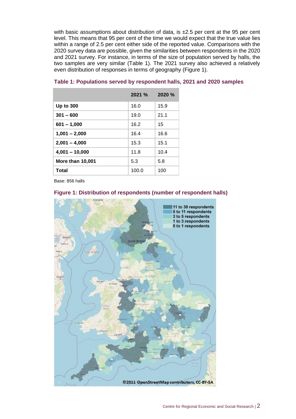with basic assumptions about distribution of data, is  $\pm 2.5$  per cent at the 95 per cent level. This means that 95 per cent of the time we would expect that the true value lies within a range of 2.5 per cent either side of the reported value. Comparisons with the 2020 survey data are possible, given the similarities between respondents in the 2020 and 2021 survey. For instance, in terms of the size of population served by halls, the two samples are very similar (Table 1). The 2021 survey also achieved a relatively even distribution of responses in terms of geography (Figure 1).

|                         | $2021 \%$ | <b>2020 %</b> |  |
|-------------------------|-----------|---------------|--|
| <b>Up to 300</b>        | 16.0      | 15.9          |  |
| $301 - 600$             | 19.0      | 21.1          |  |
| $601 - 1,000$           | 16.2      | 15            |  |
| $1,001 - 2,000$         | 16.4      | 16.6          |  |
| $2,001 - 4,000$         | 15.3      | 15.1          |  |
| $4,001 - 10,000$        | 11.8      | 10.4          |  |
| <b>More than 10,001</b> | 5.3       | 5.8           |  |
| <b>Total</b>            | 100.0     | 100           |  |

#### **Table 1: Populations served by respondent halls, 2021 and 2020 samples**

Base: 856 halls



#### **Figure 1: Distribution of respondents (number of respondent halls)**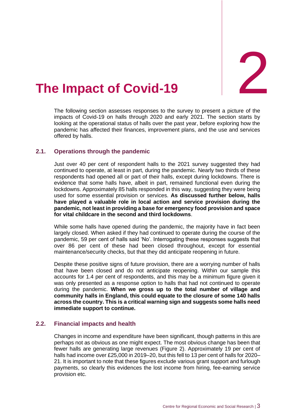

# <span id="page-7-0"></span>The Impact of Covid-19

The following section assesses responses to the survey to present a picture of the impacts of Covid-19 on halls through 2020 and early 2021. The section starts by looking at the operational status of halls over the past year, before exploring how the pandemic has affected their finances, improvement plans, and the use and services offered by halls.

#### <span id="page-7-1"></span>**2.1. Operations through the pandemic**

Just over 40 per cent of respondent halls to the 2021 survey suggested they had continued to operate, at least in part, during the pandemic. Nearly two thirds of these respondents had opened all or part of their halls, except during lockdowns. There is evidence that some halls have, albeit in part, remained functional even during the lockdowns. Approximately 85 halls responded in this way, suggesting they were being used for some essential provision or services. **As discussed further below, halls have played a valuable role in local action and service provision during the pandemic, not least in providing a base for emergency food provision and space for vital childcare in the second and third lockdowns**.

While some halls have opened during the pandemic, the majority have in fact been largely closed. When asked if they had continued to operate during the course of the pandemic, 59 per cent of halls said 'No'. Interrogating these responses suggests that over 86 per cent of these had been closed throughout, except for essential maintenance/security checks, but that they did anticipate reopening in future.

Despite these positive signs of future provision, there are a worrying number of halls that have been closed and do not anticipate reopening. Within our sample this accounts for 1.4 per cent of respondents, and this may be a minimum figure given it was only presented as a response option to halls that had not continued to operate during the pandemic. **When we gross up to the total number of village and community halls in England, this could equate to the closure of some 140 halls across the country. This is a critical warning sign and suggests some halls need immediate support to continue.** 

#### <span id="page-7-2"></span>**2.2. Financial impacts and health**

Changes in income and expenditure have been significant, though patterns in this are perhaps not as obvious as one might expect. The most obvious change has been that fewer halls are generating large revenues (Figure 2). Approximately 19 per cent of halls had income over £25,000 in 2019–20, but this fell to 13 per cent of halls for 2020– 21. It is important to note that these figures exclude various grant support and furlough payments, so clearly this evidences the lost income from hiring, fee-earning service provision etc.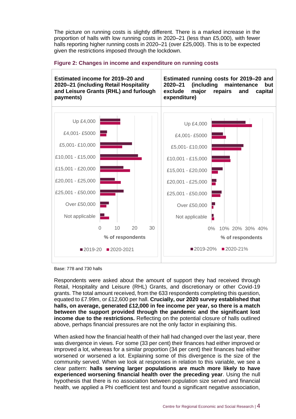The picture on running costs is slightly different. There is a marked increase in the proportion of halls with low running costs in 2020–21 (less than £5,000), with fewer halls reporting higher running costs in 2020–21 (over £25,000). This is to be expected given the restrictions imposed through the lockdown.



#### **Figure 2: Changes in income and expenditure on running costs**

Base: 778 and 730 halls

Respondents were asked about the amount of support they had received through Retail, Hospitality and Leisure (RHL) Grants, and discretionary or other Covid-19 grants. The total amount received, from the 633 respondents completing this question, equated to £7.99m, or £12,600 per hall. **Crucially, our 2020 survey established that halls, on average, generated £12,000 in fee income per year, so there is a match between the support provided through the pandemic and the significant lost income due to the restrictions.** Reflecting on the potential closure of halls outlined above, perhaps financial pressures are not the only factor in explaining this.

When asked how the financial health of their hall had changed over the last year, there was divergence in views. For some (33 per cent) their finances had either improved or improved a lot, whereas for a similar proportion (34 per cent) their finances had either worsened or worsened a lot. Explaining some of this divergence is the size of the community served. When we look at responses in relation to this variable, we see a clear pattern: **halls serving larger populations are much more likely to have experienced worsening financial health over the preceding year**. Using the null hypothesis that there is no association between population size served and financial health, we applied a Phi coefficient test and found a significant negative association,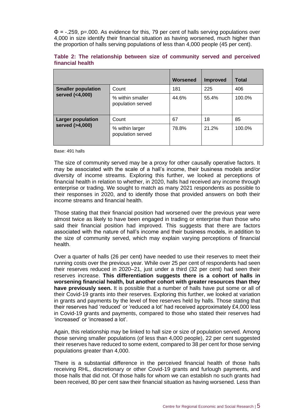$\Phi$  = -.259, p=.000. As evidence for this, 79 per cent of halls serving populations over 4,000 in size identify their financial situation as having worsened, much higher than the proportion of halls serving populations of less than 4,000 people (45 per cent).

|                           |                                       | Worsened | <b>Improved</b> | <b>Total</b> |
|---------------------------|---------------------------------------|----------|-----------------|--------------|
| <b>Smaller population</b> | Count                                 | 181      | 225             | 406          |
| served (<4,000)           | % within smaller<br>population served | 44.6%    | 55.4%           | 100.0%       |
| <b>Larger population</b>  | Count                                 | 67       | 18              | 85           |
| served (>4,000)           | % within larger<br>population served  | 78.8%    | 21.2%           | 100.0%       |

| Table 2: The relationship between size of community served and perceived |  |  |  |  |  |  |
|--------------------------------------------------------------------------|--|--|--|--|--|--|
| financial health                                                         |  |  |  |  |  |  |

Base: 491 halls

The size of community served may be a proxy for other causally operative factors. It may be associated with the scale of a hall's income, their business models and/or diversity of income streams. Exploring this further, we looked at perceptions of financial health in relation to whether, in 2020, halls had received any income through enterprise or trading. We sought to match as many 2021 respondents as possible to their responses in 2020, and to identify those that provided answers on both their income streams and financial health.

Those stating that their financial position had worsened over the previous year were almost twice as likely to have been engaged in trading or enterprise than those who said their financial position had improved. This suggests that there are factors associated with the nature of hall's income and their business models, in addition to the size of community served, which may explain varying perceptions of financial health.

Over a quarter of halls (26 per cent) have needed to use their reserves to meet their running costs over the previous year. While over 25 per cent of respondents had seen their reserves reduced in 2020–21, just under a third (32 per cent) had seen their reserves increase. **This differentiation suggests there is a cohort of halls in worsening financial health, but another cohort with greater resources than they have previously seen.** It is possible that a number of halls have put some or all of their Covid-19 grants into their reserves. Exploring this further, we looked at variation in grants and payments by the level of free reserves held by halls. Those stating that their reserves had 'reduced' or 'reduced a lot' had received approximately £4,000 less in Covid-19 grants and payments, compared to those who stated their reserves had 'increased' or 'increased a lot'.

Again, this relationship may be linked to hall size or size of population served. Among those serving smaller populations (of less than 4,000 people), 22 per cent suggested their reserves have reduced to some extent, compared to 38 per cent for those serving populations greater than 4,000.

There is a substantial difference in the perceived financial health of those halls receiving RHL, discretionary or other Covid-19 grants and furlough payments, and those halls that did not. Of those halls for whom we can establish no such grants had been received, 80 per cent saw their financial situation as having worsened. Less than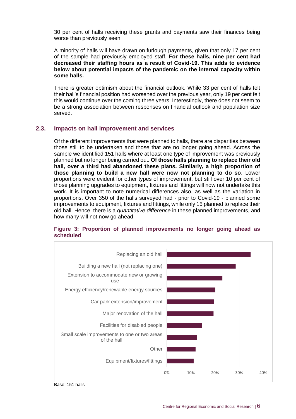30 per cent of halls receiving these grants and payments saw their finances being worse than previously seen.

A minority of halls will have drawn on furlough payments, given that only 17 per cent of the sample had previously employed staff. **For these halls, nine per cent had decreased their staffing hours as a result of Covid-19. This adds to evidence below about potential impacts of the pandemic on the internal capacity within some halls.**

There is greater optimism about the financial outlook. While 33 per cent of halls felt their hall's financial position had worsened over the previous year, only 19 per cent felt this would continue over the coming three years. Interestingly, there does not seem to be a strong association between responses on financial outlook and population size served.

#### <span id="page-10-0"></span>**2.3. Impacts on hall improvement and services**

Of the different improvements that were planned to halls, there are disparities between those still to be undertaken and those that are no longer going ahead. Across the sample we identified 151 halls where at least one type of improvement was previously planned but no longer being carried out. **Of those halls planning to replace their old hall, over a third had abandoned these plans. Similarly, a high proportion of those planning to build a new hall were now not planning to do so**. Lower proportions were evident for other types of improvement, but still over 10 per cent of those planning upgrades to equipment, fixtures and fittings will now not undertake this work. It is important to note numerical differences also, as well as the variation in proportions. Over 350 of the halls surveyed had - prior to Covid-19 - planned some improvements to equipment, fixtures and fittings, while only 15 planned to replace their old hall. Hence, there is a *quantitative difference* in these planned improvements, and how many will not now go ahead.



#### **Figure 3: Proportion of planned improvements no longer going ahead as scheduled**

Base: 151 halls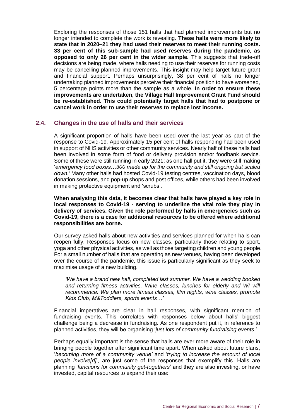Exploring the responses of those 151 halls that had planned improvements but no longer intended to complete the work is revealing. **These halls were more likely to state that in 2020–21 they had used their reserves to meet their running costs. 33 per cent of this sub-sample had used reserves during the pandemic, as opposed to only 26 per cent in the wider sample.** This suggests that trade-off decisions are being made, where halls needing to use their reserves for running costs may be cancelling planned improvements. This insight may help target future grant and financial support. Perhaps unsurprisingly, 38 per cent of halls no longer undertaking planned improvements perceive their financial position to have worsened, 5 percentage points more than the sample as a whole. **In order to ensure these improvements are undertaken, the Village Hall Improvement Grant Fund should be re-established. This could potentially target halls that had to postpone or cancel work in order to use their reserves to replace lost income.**

#### <span id="page-11-0"></span>**2.4. Changes in the use of halls and their services**

A significant proportion of halls have been used over the last year as part of the response to Covid-19. Approximately 15 per cent of halls responding had been used in support of NHS activities or other community services. Nearly half of these halls had been involved in some form of food or delivery provision and/or foodbank service. Some of these were still running in early 2021; as one hall put it, they were still making '*emergency food boxes…300 made up for the community and still ongoing but scaled down.'* Many other halls had hosted Covid-19 testing centres, vaccination days, blood donation sessions, and pop-up shops and post offices, while others had been involved in making protective equipment and 'scrubs'.

**When analysing this data, it becomes clear that halls have played a key role in local responses to Covid-19 - serving to underline the vital role they play in delivery of services. Given the role performed by halls in emergencies such as Covid-19, there is a case for additional resources to be offered where additional responsibilities are borne.**

Our survey asked halls about new activities and services planned for when halls can reopen fully. Responses focus on new classes, particularly those relating to sport, yoga and other physical activities, as well as those targeting children and young people. For a small number of halls that are operating as new venues, having been developed over the course of the pandemic, this issue is particularly significant as they seek to maximise usage of a new building.

*'We have a brand new hall, completed last summer. We have a wedding booked and returning fitness activities. Wine classes, lunches for elderly and WI will recommence. We plan more fitness classes, film nights, wine classes, promote Kids Club, M&Toddlers, sports events…'*

Financial imperatives are clear in hall responses, with significant mention of fundraising events. This correlates with responses below about halls' biggest challenge being a decrease in fundraising. As one respondent put it, in reference to planned activities, they will be organising '*just lots of community fundraising events*.'

Perhaps equally important is the sense that halls are ever more aware of their role in bringing people together after significant time apart. When asked about future plans, '*becoming more of a community venue'* and '*trying to increase the amount of local people involve[d]*', are just some of the responses that exemplify this. Halls are planning '*functions for community get-togethers*' and they are also investing, or have invested, capital resources to expand their use: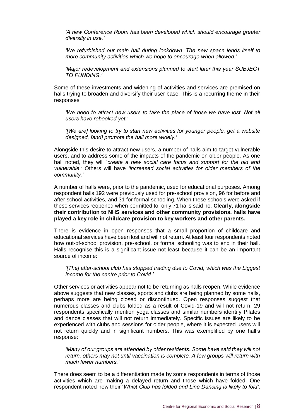*'A new Conference Room has been developed which should encourage greater diversity in use.'*

*'We refurbished our main hall during lockdown. The new space lends itself to more community activities which we hope to encourage when allowed.'*

*'Major redevelopment and extensions planned to start later this year SUBJECT TO FUNDING.'*

Some of these investments and widening of activities and services are premised on halls trying to broaden and diversify their user base. This is a recurring theme in their responses:

*'We need to attract new users to take the place of those we have lost. Not all users have rebooked yet.'*

*'[We are] looking to try to start new activities for younger people, get a website designed, [and] promote the hall more widely.'*

Alongside this desire to attract new users, a number of halls aim to target vulnerable users, and to address some of the impacts of the pandemic on older people. As one hall noted, they will '*create a new social care focus and support for the old and vulnerable.'* Others will have *'increased social activities for older members of the community.'*

A number of halls were, prior to the pandemic, used for educational purposes. Among respondent halls 192 were previously used for pre-school provision, 96 for before and after school activities, and 31 for formal schooling. When these schools were asked if these services reopened when permitted to, only 71 halls said no. **Clearly, alongside their contribution to NHS services and other community provisions, halls have played a key role in childcare provision to key workers and other parents.**

There is evidence in open responses that a small proportion of childcare and educational services have been lost and will not return. At least four respondents noted how out-of-school provision, pre-school, or formal schooling was to end in their hall. Halls recognise this is a significant issue not least because it can be an important source of income:

*'[The] after-school club has stopped trading due to Covid, which was the biggest income for the centre prior to Covid.'*

Other services or activities appear not to be returning as halls reopen. While evidence above suggests that new classes, sports and clubs are being planned by some halls, perhaps more are being closed or discontinued. Open responses suggest that numerous classes and clubs folded as a result of Covid-19 and will not return. 29 respondents specifically mention yoga classes and similar numbers identify Pilates and dance classes that will not return immediately. Specific issues are likely to be experienced with clubs and sessions for older people, where it is expected users will not return quickly and in significant numbers. This was exemplified by one hall's response:

*'Many of our groups are attended by older residents. Some have said they will not return, others may not until vaccination is complete. A few groups will return with much fewer numbers.'*

There does seem to be a differentiation made by some respondents in terms of those activities which are making a delayed return and those which have folded. One respondent noted how their '*Whist Club has folded and Line Dancing is likely to fold'*,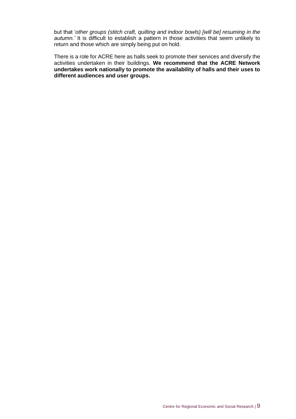but that '*other groups (stitch craft, quilting and indoor bowls) [will be] resuming in the autumn.'* It is difficult to establish a pattern in those activities that seem unlikely to return and those which are simply being put on hold.

There is a role for ACRE here as halls seek to promote their services and diversify the activities undertaken in their buildings. **We recommend that the ACRE Network undertakes work nationally to promote the availability of halls and their uses to different audiences and user groups.**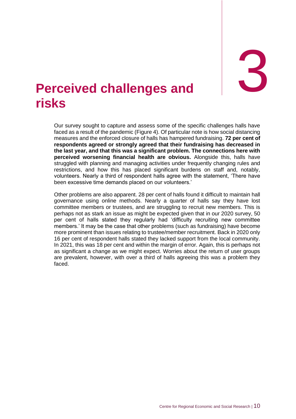

# <span id="page-14-0"></span>3. **Perceived risks challenges and**

Our survey sought to capture and assess some of the specific challenges halls have faced as a result of the pandemic (Figure 4). Of particular note is how social distancing measures and the enforced closure of halls has hampered fundraising. **72 per cent of respondents agreed or strongly agreed that their fundraising has decreased in the last year, and that this was a significant problem. The connections here with perceived worsening financial health are obvious.** Alongside this, halls have struggled with planning and managing activities under frequently changing rules and restrictions, and how this has placed significant burdens on staff and, notably, volunteers. Nearly a third of respondent halls agree with the statement, 'There have been excessive time demands placed on our volunteers.'

Other problems are also apparent. 28 per cent of halls found it difficult to maintain hall governance using online methods. Nearly a quarter of halls say they have lost committee members or trustees, and are struggling to recruit new members. This is perhaps not as stark an issue as might be expected given that in our 2020 survey, 50 per cent of halls stated they regularly had 'difficulty recruiting new committee members.' It may be the case that other problems (such as fundraising) have become more prominent than issues relating to trustee/member recruitment. Back in 2020 only 16 per cent of respondent halls stated they lacked support from the local community. In 2021, this was 18 per cent and within the margin of error. Again, this is perhaps not as significant a change as we might expect. Worries about the return of user groups are prevalent, however, with over a third of halls agreeing this was a problem they faced.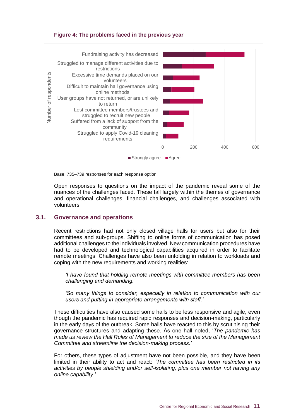#### **Figure 4: The problems faced in the previous year**



Base: 735–739 responses for each response option.

Open responses to questions on the impact of the pandemic reveal some of the nuances of the challenges faced. These fall largely within the themes of governance and operational challenges, financial challenges, and challenges associated with volunteers.

#### <span id="page-15-0"></span>**3.1. Governance and operations**

Recent restrictions had not only closed village halls for users but also for their committees and sub-groups. Shifting to online forms of communication has posed additional challenges to the individuals involved. New communication procedures have had to be developed and technological capabilities acquired in order to facilitate remote meetings. Challenges have also been unfolding in relation to workloads and coping with the new requirements and working realities:

*'I have found that holding remote meetings with committee members has been challenging and demanding.'* 

*'So many things to consider, especially in relation to communication with our users and putting in appropriate arrangements with staff.'*

These difficulties have also caused some halls to be less responsive and agile, even though the pandemic has required rapid responses and decision-making, particularly in the early days of the outbreak. Some halls have reacted to this by scrutinising their governance structures and adapting these. As one hall noted, '*The pandemic has made us review the Hall Rules of Management to reduce the size of the Management Committee and streamline the decision-making process.'*

For others, these types of adjustment have not been possible, and they have been limited in their ability to act and react: *'The committee has been restricted in its activities by people shielding and/or self-isolating, plus one member not having any online capability.'*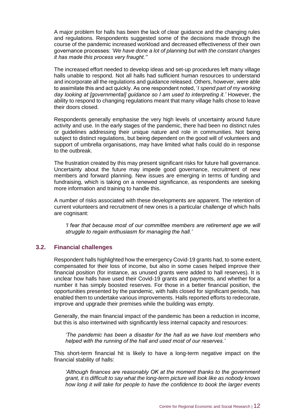A major problem for halls has been the lack of clear guidance and the changing rules and regulations. Respondents suggested some of the decisions made through the course of the pandemic increased workload and decreased effectiveness of their own governance processes: '*We have done a lot of planning but with the constant changes it has made this process very fraught.''*

The increased effort needed to develop ideas and set-up procedures left many village halls unable to respond. Not all halls had sufficient human resources to understand and incorporate all the regulations and guidance released. Others, however, were able to assimilate this and act quickly. As one respondent noted, '*I spend part of my working day looking at [governmental] guidance so I am used to interpreting it.'* However, the ability to respond to changing regulations meant that many village halls chose to leave their doors closed.

Respondents generally emphasise the very high levels of uncertainty around future activity and use. In the early stages of the pandemic, there had been no distinct rules or guidelines addressing their unique nature and role in communities. Not being subject to distinct regulations, but being dependent on the good will of volunteers and support of umbrella organisations, may have limited what halls could do in response to the outbreak.

The frustration created by this may present significant risks for future hall governance. Uncertainty about the future may impede good governance, recruitment of new members and forward planning. New issues are emerging in terms of funding and fundraising, which is taking on a renewed significance, as respondents are seeking more information and training to handle this.

A number of risks associated with these developments are apparent. The retention of current volunteers and recruitment of new ones is a particular challenge of which halls are cognisant:

*'I fear that because most of our committee members are retirement age we will struggle to regain enthusiasm for managing the hall.'*

#### <span id="page-16-0"></span>**3.2. Financial challenges**

Respondent halls highlighted how the emergency Covid-19 grants had, to some extent, compensated for their loss of income, but also in some cases helped improve their financial position (for instance, as unused grants were added to hall reserves). It is unclear how halls have used their Covid-19 grants and payments, and whether for a number it has simply boosted reserves. For those in a better financial position, the opportunities presented by the pandemic, with halls closed for significant periods, has enabled them to undertake various improvements. Halls reported efforts to redecorate, improve and upgrade their premises while the building was empty.

Generally, the main financial impact of the pandemic has been a reduction in income, but this is also intertwined with significantly less internal capacity and resources:

*'The pandemic has been a disaster for the hall as we have lost members who helped with the running of the hall and used most of our reserves.'*

This short-term financial hit is likely to have a long-term negative impact on the financial stability of halls:

*'Although finances are reasonably OK at the moment thanks to the government grant, it is difficult to say what the long-term picture will look like as nobody knows how long it will take for people to have the confidence to book the larger events*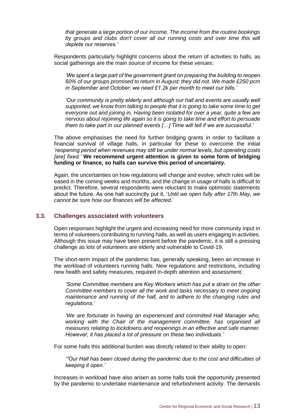*that generate a large portion of our income. The income from the routine bookings*  by groups and clubs don't cover all our running costs and over time this will *deplete our reserves.'*

Respondents particularly highlight concerns about the return of activities to halls, as social gatherings are the main source of income for these venues:

*'We spent a large part of the government grant on preparing the building to reopen. 60% of our groups promised to return in August; they did not. We made £250 pcm in September and October; we need £1.2k per month to meet our bills.'*

*'Our community is pretty elderly and although our hall and events are usually well supported, we know from talking to people that it is going to take some time to get everyone out and joining in. Having been isolated for over a year, quite a few are nervous about rejoining life again so it is going to take time and effort to persuade them to take part in our planned events […] Time will tell if we are successful.'*

The above emphasises the need for further bridging grants in order to facilitate a financial survival of village halls, in particular for these to overcome the initial *'reopening period when revenues may still be under normal levels, but operating costs [are] fixed.'* **We recommend urgent attention is given to some form of bridging funding or finance, so halls can survive this period of uncertainty.**

Again, the uncertainties on how regulations will change and evolve, which rules will be eased in the coming weeks and months, and the change in usage of halls is difficult to predict. Therefore, several respondents were reluctant to make optimistic statements about the future. As one hall succinctly put it, '*Until we open fully after 17th May, we cannot be sure how our finances will be affected*.'

#### <span id="page-17-0"></span>**3.3. Challenges associated with volunteers**

Open responses highlight the urgent and increasing need for more community input in terms of volunteers contributing to running halls, as well as users engaging in activities. Although this issue may have been present before the pandemic, it is still a pressing challenge as lots of volunteers are elderly and vulnerable to Covid-19.

The short-term impact of the pandemic has, generally speaking, been an increase in the workload of volunteers running halls. New regulations and restrictions, including new health and safety measures, required in-depth attention and assessment:

*'Some Committee members are Key Workers which has put a strain on the other Committee members to cover all the work and tasks necessary to meet ongoing maintenance and running of the hall, and to adhere to the changing rules and regulations.'*

*'We are fortunate in having an experienced and committed Hall Manager who, working with the Chair of the management committee, has organised all measures relating to lockdowns and reopenings in an effective and safe manner. However, it has placed a lot of pressure on these two individuals.'*

For some halls this additional burden was directly related to their ability to open:

*'"Our Hall has been closed during the pandemic due to the cost and difficulties of keeping it open.'*

Increases in workload have also arisen as some halls took the opportunity presented by the pandemic to undertake maintenance and refurbishment activity. The demands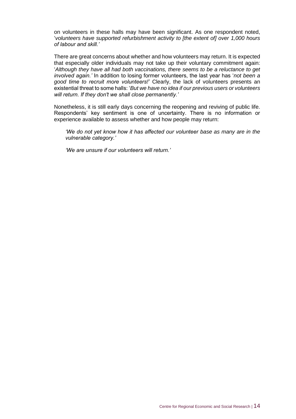on volunteers in these halls may have been significant. As one respondent noted, '*volunteers have supported refurbishment activity to [the extent of] over 1,000 hours of labour and skill.'*

There are great concerns about whether and how volunteers may return. It is expected that especially older individuals may not take up their voluntary commitment again: '*Although they have all had both vaccinations, there seems to be a reluctance to get involved again.'* In addition to losing former volunteers, the last year has '*not been a good time to recruit more volunteers!'* Clearly, the lack of volunteers presents an existential threat to some halls: '*But we have no idea if our previous users or volunteers will return. If they don't we shall close permanently.'*

Nonetheless, it is still early days concerning the reopening and reviving of public life. Respondents' key sentiment is one of uncertainty. There is no information or experience available to assess whether and how people may return:

*'We do not yet know how it has affected our volunteer base as many are in the vulnerable category.'*

*'We are unsure if our volunteers will return.'*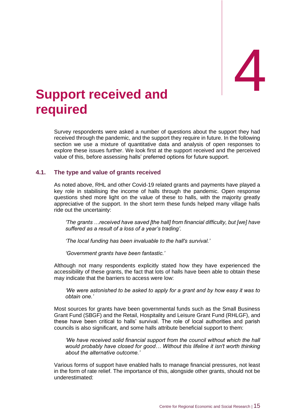# <span id="page-19-0"></span>**Support received and required**

Survey respondents were asked a number of questions about the support they had received through the pandemic, and the support they require in future. In the following section we use a mixture of quantitative data and analysis of open responses to explore these issues further. We look first at the support received and the perceived value of this, before assessing halls' preferred options for future support.

#### <span id="page-19-1"></span>**4.1. The type and value of grants received**

As noted above, RHL and other Covid-19 related grants and payments have played a key role in stabilising the income of halls through the pandemic. Open response questions shed more light on the value of these to halls, with the majority greatly appreciative of the support. In the short term these funds helped many village halls ride out the uncertainty:

*'The grants …received have saved [the hall] from financial difficulty, but [we] have suffered as a result of a loss of a year's trading'.* 

*'The local funding has been invaluable to the hall's survival.'*

*'Government grants have been fantastic.'*

Although not many respondents explicitly stated how they have experienced the accessibility of these grants, the fact that lots of halls have been able to obtain these may indicate that the barriers to access were low:

*'We were astonished to be asked to apply for a grant and by how easy it was to obtain one.'*

Most sources for grants have been governmental funds such as the Small Business Grant Fund (SBGF) and the Retail, Hospitality and Leisure Grant Fund (RHLGF), and these have been critical to halls' survival. The role of local authorities and parish councils is also significant, and some halls attribute beneficial support to them:

*'We have received solid financial support from the council without which the hall would probably have closed for good… Without this lifeline it isn't worth thinking about the alternative outcome.'*

Various forms of support have enabled halls to manage financial pressures, not least in the form of rate relief. The importance of this, alongside other grants, should not be underestimated: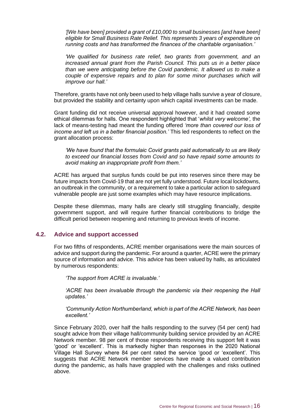*'[We have been] provided a grant of £10,000 to small businesses [and have been] eligible for Small Business Rate Relief. This represents 3 years of expenditure on running costs and has transformed the finances of the charitable organisation.'*

*'We qualified for business rate relief, two grants from government, and an increased annual grant from the Parish Council. This puts us in a better place than we were anticipating before the Covid pandemic. It allowed us to make a couple of expensive repairs and to plan for some minor purchases which will improve our hall.'*

Therefore, grants have not only been used to help village halls survive a year of closure, but provided the stability and certainty upon which capital investments can be made.

Grant funding did not receive universal approval however, and it had created some ethical dilemmas for halls. One respondent highlighted that '*whilst very welcome',* the lack of means-testing had meant the funding offered *'more than covered our loss of income and left us in a better financial position.'* This led respondents to reflect on the grant allocation process:

*'We have found that the formulaic Covid grants paid automatically to us are likely to exceed our financial losses from Covid and so have repaid some amounts to avoid making an inappropriate profit from them.'*

ACRE has argued that surplus funds could be put into reserves since there may be future impacts from Covid-19 that are not yet fully understood. Future local lockdowns, an outbreak in the community, or a requirement to take a particular action to safeguard vulnerable people are just some examples which may have resource implications.

Despite these dilemmas, many halls are clearly still struggling financially, despite government support, and will require further financial contributions to bridge the difficult period between reopening and returning to previous levels of income.

#### <span id="page-20-0"></span>**4.2. Advice and support accessed**

For two fifths of respondents, ACRE member organisations were the main sources of advice and support during the pandemic. For around a quarter, ACRE were the primary source of information and advice. This advice has been valued by halls, as articulated by numerous respondents:

*'The support from ACRE is invaluable.'*

*'ACRE has been invaluable through the pandemic via their reopening the Hall updates.'*

*'Community Action Northumberland, which is part of the ACRE Network, has been excellent.'*

Since February 2020, over half the halls responding to the survey (54 per cent) had sought advice from their village hall/community building service provided by an ACRE Network member. 98 per cent of those respondents receiving this support felt it was 'good' or 'excellent'. This is markedly higher than responses in the 2020 National Village Hall Survey where 84 per cent rated the service 'good or 'excellent'. This suggests that ACRE Network member services have made a valued contribution during the pandemic, as halls have grappled with the challenges and risks outlined above.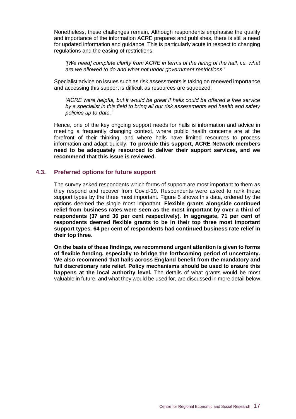Nonetheless, these challenges remain. Although respondents emphasise the quality and importance of the information ACRE prepares and publishes, there is still a need for updated information and guidance. This is particularly acute in respect to changing regulations and the easing of restrictions.

*'[We need] complete clarity from ACRE in terms of the hiring of the hall, i.e. what are we allowed to do and what not under government restrictions.'*

Specialist advice on issues such as risk assessments is taking on renewed importance, and accessing this support is difficult as resources are squeezed:

*'ACRE were helpful, but it would be great if halls could be offered a free service by a specialist in this field to bring all our risk assessments and health and safety policies up to date.'*

Hence, one of the key ongoing support needs for halls is information and advice in meeting a frequently changing context, where public health concerns are at the forefront of their thinking, and where halls have limited resources to process information and adapt quickly. **To provide this support, ACRE Network members need to be adequately resourced to deliver their support services, and we recommend that this issue is reviewed.**

#### <span id="page-21-0"></span>**4.3. Preferred options for future support**

The survey asked respondents which forms of support are most important to them as they respond and recover from Covid-19. Respondents were asked to rank these support types by the three most important. Figure 5 shows this data, ordered by the options deemed the single most important. **Flexible grants alongside continued relief from business rates were seen as the most important by over a third of respondents (37 and 36 per cent respectively). In aggregate, 71 per cent of respondents deemed flexible grants to be in their top three most important support types. 64 per cent of respondents had continued business rate relief in their top three**.

**On the basis of these findings, we recommend urgent attention is given to forms of flexible funding, especially to bridge the forthcoming period of uncertainty. We also recommend that halls across England benefit from the mandatory and full discretionary rate relief. Policy mechanisms should be used to ensure this happens at the local authority level.** The details of what grants would be most valuable in future, and what they would be used for, are discussed in more detail below.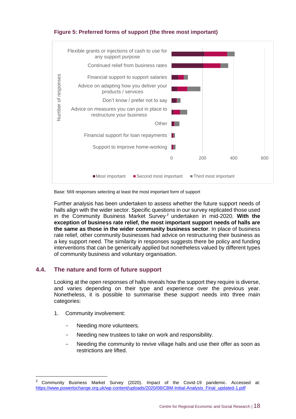#### **Figure 5: Preferred forms of support (the three most important)**



Base: 569 responses selecting at least the most important form of support

Further analysis has been undertaken to assess whether the future support needs of halls align with the wider sector. Specific questions in our survey replicated those used in the Community Business Market Survey <sup>2</sup> undertaken in mid-2020. **With the exception of business rate relief, the most important support needs of halls are the same as those in the wider community business sector**. In place of business rate relief, other community businesses had advice on restructuring their business as a key support need. The similarity in responses suggests there be policy and funding interventions that can be generically applied but nonetheless valued by different types of community business and voluntary organisation.

#### <span id="page-22-0"></span>**4.4. The nature and form of future support**

Looking at the open responses of halls reveals how the support they require is diverse, and varies depending on their type and experience over the previous year. Nonetheless, it is possible to summarise these support needs into three main categories:

- 1. Community involvement:
	- Needing more volunteers.
	- Needing new trustees to take on work and responsibility.
	- Needing the community to revive village halls and use their offer as soon as restrictions are lifted.

<sup>2</sup> Community Business Market Survey (2020). Impact of the Covid-19 pandemic. Accessed at: [https://www.powertochange.org.uk/wp-content/uploads/2020/08/CBM-Initial-Analysis\\_Final\\_updated-1.pdf](https://www.powertochange.org.uk/wp-content/uploads/2020/08/CBM-Initial-Analysis_Final_updated-1.pdf)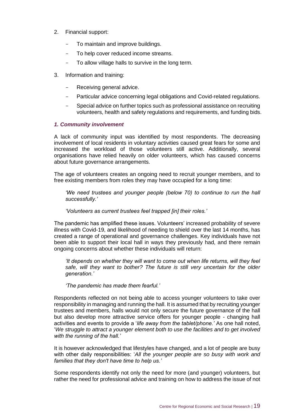- 2. Financial support:
	- To maintain and improve buildings.
	- To help cover reduced income streams.
	- To allow village halls to survive in the long term.
- 3. Information and training:
	- Receiving general advice.
	- Particular advice concerning legal obligations and Covid-related regulations.
	- Special advice on further topics such as professional assistance on recruiting volunteers, health and safety regulations and requirements, and funding bids.

#### *1. Community involvement*

A lack of community input was identified by most respondents. The decreasing involvement of local residents in voluntary activities caused great fears for some and increased the workload of those volunteers still active. Additionally, several organisations have relied heavily on older volunteers, which has caused concerns about future governance arrangements.

The age of volunteers creates an ongoing need to recruit younger members, and to free existing members from roles they may have occupied for a long time:

*'We need trustees and younger people (below 70) to continue to run the hall successfully.'*

*'Volunteers as current trustees feel trapped [in] their roles.'*

The pandemic has amplified these issues. Volunteers' increased probability of severe illness with Covid-19, and likelihood of needing to shield over the last 14 months, has created a range of operational and governance challenges. Key individuals have not been able to support their local hall in ways they previously had, and there remain ongoing concerns about whether these individuals will return:

*'It depends on whether they will want to come out when life returns, will they feel safe, will they want to bother? The future is still very uncertain for the older generation.'*

*'The pandemic has made them fearful.'*

Respondents reflected on not being able to access younger volunteers to take over responsibility in managing and running the hall. It is assumed that by recruiting younger trustees and members, halls would not only secure the future governance of the hall but also develop more attractive service offers for younger people - changing hall activities and events to provide a '*life away from the tablet/phone.'* As one hall noted, '*We struggle to attract a younger element both to use the facilities and to get involved with the running of the hall.'* 

It is however acknowledged that lifestyles have changed, and a lot of people are busy with other daily responsibilities: '*All the younger people are so busy with work and families that they don't have time to help us.'*

Some respondents identify not only the need for more (and younger) volunteers, but rather the need for professional advice and training on how to address the issue of not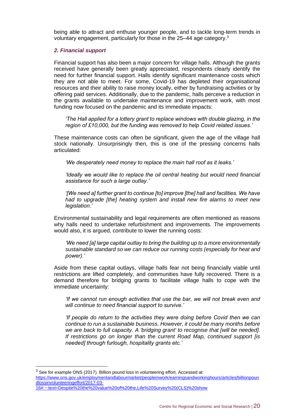being able to attract and enthuse younger people, and to tackle long-term trends in voluntary engagement, particularly for those in the 25–44 age category.<sup>3</sup>

#### *2. Financial support*

Financial support has also been a major concern for village halls. Although the grants received have generally been greatly appreciated, respondents clearly identify the need for further financial support. Halls identify significant maintenance costs which they are not able to meet. For some, Covid-19 has depleted their organisational resources and their ability to raise money locally, either by fundraising activities or by offering paid services. Additionally, due to the pandemic, halls perceive a reduction in the grants available to undertake maintenance and improvement work, with most funding now focused on the pandemic and its immediate impacts:

*'The Hall applied for a lottery grant to replace windows with double glazing, in the region of £10,000, but the funding was removed to help Covid related issues.'*

These maintenance costs can often be significant, given the age of the village hall stock nationally. Unsurprisingly then, this is one of the pressing concerns halls articulated:

*'We desperately need money to replace the main hall roof as it leaks.'* 

*'Ideally we would like to replace the oil central heating but would need financial assistance for such a large outlay.'* 

*'[We need a] further grant to continue [to] improve [the] hall and facilities. We have had to upgrade [the] heating system and install new fire alarms to meet new legislation.'* 

Environmental sustainability and legal requirements are often mentioned as reasons why halls need to undertake refurbishment and improvements. The improvements would also, it is argued, contribute to lower the running costs:

*'We need [a] large capital outlay to bring the building up to a more environmentally sustainable standard so we can reduce our running costs (especially for heat and power).'*

Aside from these capital outlays, village halls fear not being financially viable until restrictions are lifted completely, and communities have fully recovered. There is a demand therefore for bridging grants to facilitate village halls to cope with the immediate uncertainty:

*'If we cannot run enough activities that use the bar, we will not break even and will continue to need financial support to survive.'*

*'If people do return to the activities they were doing before Covid then we can continue to run a sustainable business. However, it could be many months before we are back to full capacity. A 'bridging grant' to recognise that [will be needed]. If restrictions go on longer than the current Road Map, continued support [is needed] through furlough, hospitality grants etc.'*

[https://www.ons.gov.uk/employmentandlabourmarket/peopleinwork/earningsandworkinghours/articles/billionpoun](https://www.ons.gov.uk/employmentandlabourmarket/peopleinwork/earningsandworkinghours/articles/billionpoundlossinvolunteeringeffort/2017-03-16#:~:text=Despite%20the%20value%20of%20the,Life%20Survey%20(CLS)%20show) [dlossinvolunteeringeffort/2017-03-](https://www.ons.gov.uk/employmentandlabourmarket/peopleinwork/earningsandworkinghours/articles/billionpoundlossinvolunteeringeffort/2017-03-16#:~:text=Despite%20the%20value%20of%20the,Life%20Survey%20(CLS)%20show)

<sup>&</sup>lt;sup>3</sup> See for example ONS (2017). Billion pound loss in volunteering effort. Accessed at:

[<sup>16#:~:</sup>text=Despite%20the%20value%20of%20the,Life%20Survey%20\(CLS\)%20show](https://www.ons.gov.uk/employmentandlabourmarket/peopleinwork/earningsandworkinghours/articles/billionpoundlossinvolunteeringeffort/2017-03-16#:~:text=Despite%20the%20value%20of%20the,Life%20Survey%20(CLS)%20show)